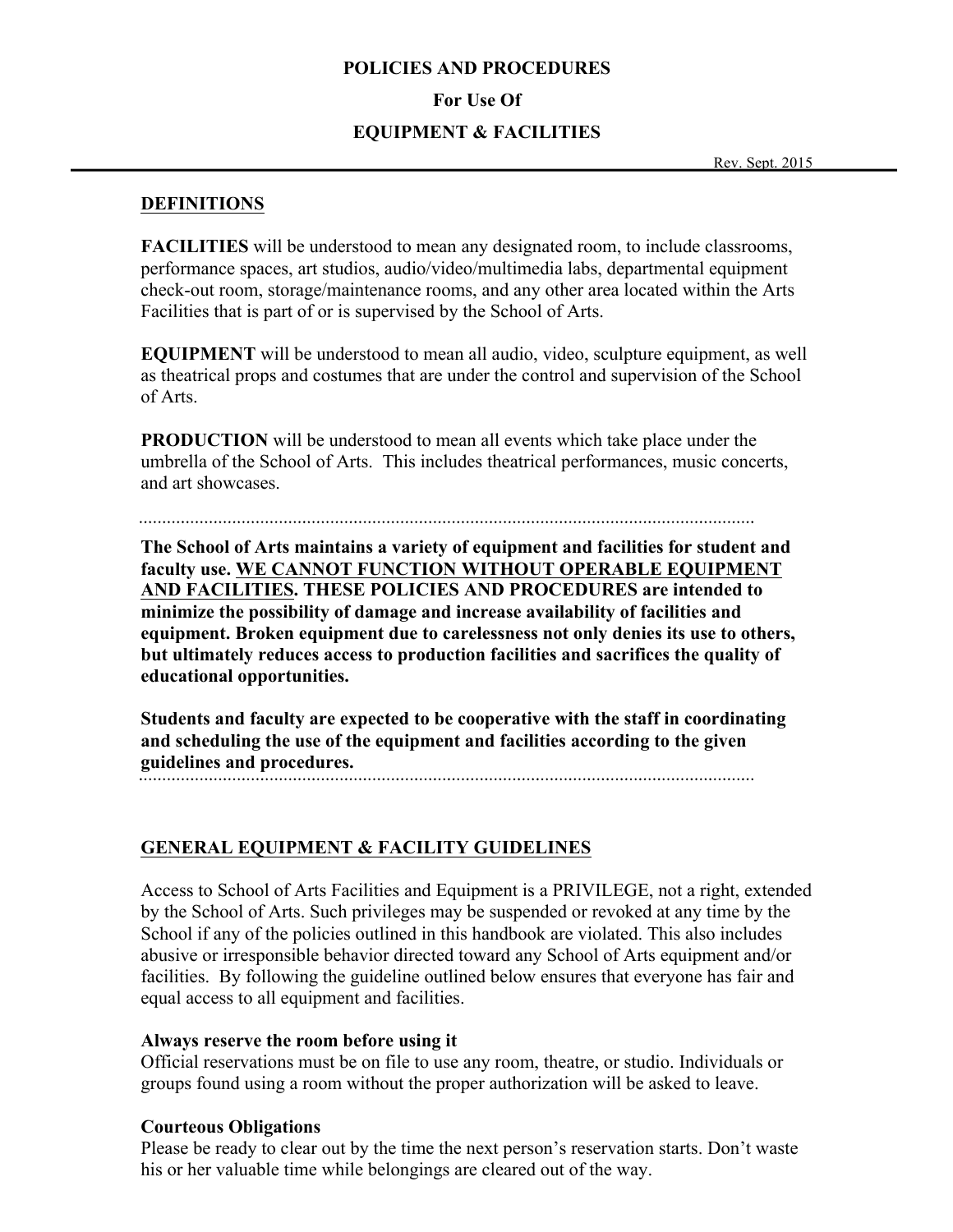#### **POLICIES AND PROCEDURES**

#### **For Use Of**

#### **EQUIPMENT & FACILITIES**

Rev. Sept. 2015

#### **DEFINITIONS**

**FACILITIES** will be understood to mean any designated room, to include classrooms, performance spaces, art studios, audio/video/multimedia labs, departmental equipment check-out room, storage/maintenance rooms, and any other area located within the Arts Facilities that is part of or is supervised by the School of Arts.

**EQUIPMENT** will be understood to mean all audio, video, sculpture equipment, as well as theatrical props and costumes that are under the control and supervision of the School of Arts.

**PRODUCTION** will be understood to mean all events which take place under the umbrella of the School of Arts. This includes theatrical performances, music concerts, and art showcases.

**The School of Arts maintains a variety of equipment and facilities for student and faculty use. WE CANNOT FUNCTION WITHOUT OPERABLE EQUIPMENT AND FACILITIES. THESE POLICIES AND PROCEDURES are intended to minimize the possibility of damage and increase availability of facilities and equipment. Broken equipment due to carelessness not only denies its use to others, but ultimately reduces access to production facilities and sacrifices the quality of educational opportunities.** 

**Students and faculty are expected to be cooperative with the staff in coordinating and scheduling the use of the equipment and facilities according to the given guidelines and procedures.**

## **GENERAL EQUIPMENT & FACILITY GUIDELINES**

Access to School of Arts Facilities and Equipment is a PRIVILEGE, not a right, extended by the School of Arts. Such privileges may be suspended or revoked at any time by the School if any of the policies outlined in this handbook are violated. This also includes abusive or irresponsible behavior directed toward any School of Arts equipment and/or facilities. By following the guideline outlined below ensures that everyone has fair and equal access to all equipment and facilities.

#### **Always reserve the room before using it**

Official reservations must be on file to use any room, theatre, or studio. Individuals or groups found using a room without the proper authorization will be asked to leave.

## **Courteous Obligations**

Please be ready to clear out by the time the next person's reservation starts. Don't waste his or her valuable time while belongings are cleared out of the way.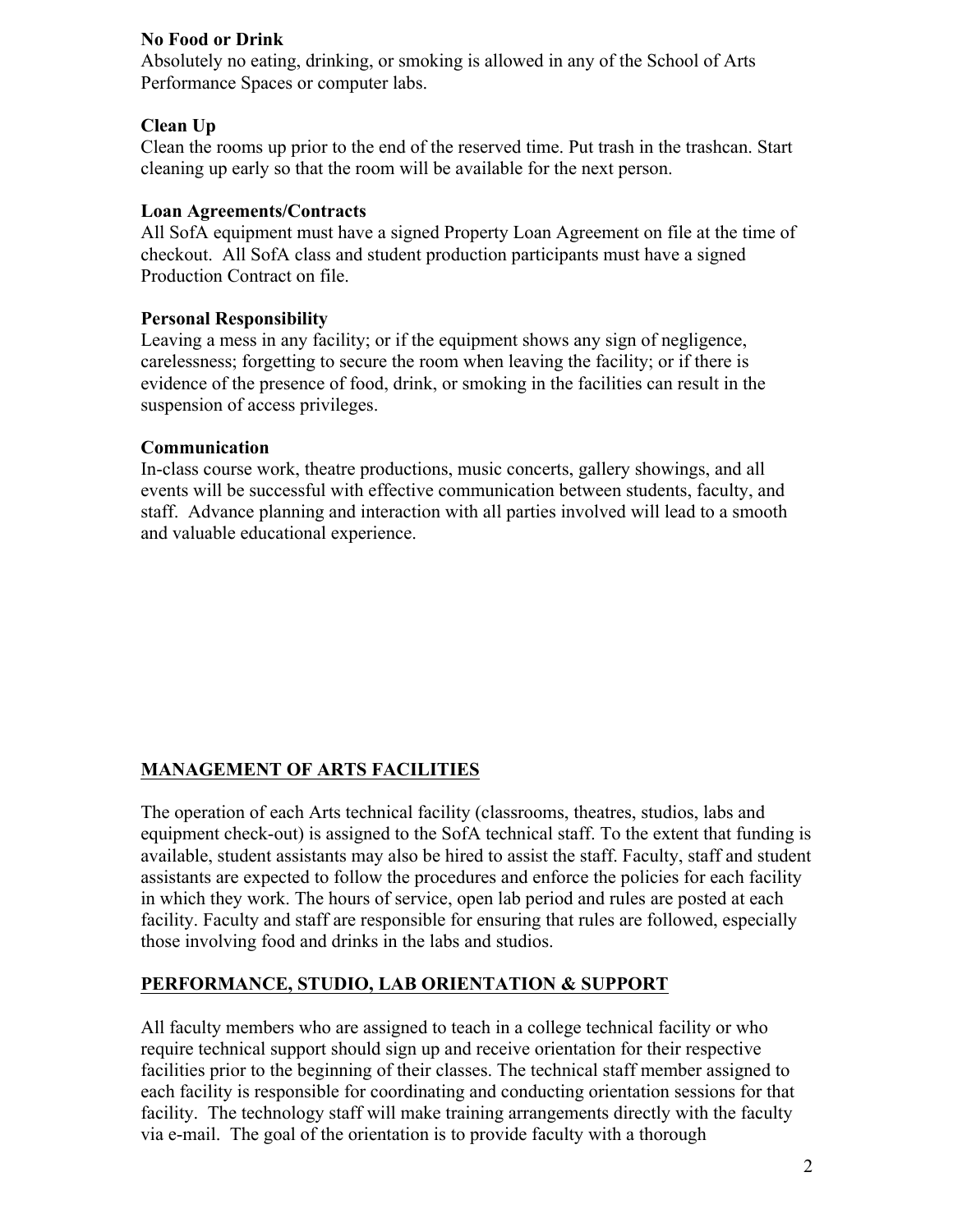## **No Food or Drink**

Absolutely no eating, drinking, or smoking is allowed in any of the School of Arts Performance Spaces or computer labs.

## **Clean Up**

Clean the rooms up prior to the end of the reserved time. Put trash in the trashcan. Start cleaning up early so that the room will be available for the next person.

## **Loan Agreements/Contracts**

All SofA equipment must have a signed Property Loan Agreement on file at the time of checkout. All SofA class and student production participants must have a signed Production Contract on file.

#### **Personal Responsibility**

Leaving a mess in any facility; or if the equipment shows any sign of negligence, carelessness; forgetting to secure the room when leaving the facility; or if there is evidence of the presence of food, drink, or smoking in the facilities can result in the suspension of access privileges.

#### **Communication**

In-class course work, theatre productions, music concerts, gallery showings, and all events will be successful with effective communication between students, faculty, and staff. Advance planning and interaction with all parties involved will lead to a smooth and valuable educational experience.

# **MANAGEMENT OF ARTS FACILITIES**

The operation of each Arts technical facility (classrooms, theatres, studios, labs and equipment check-out) is assigned to the SofA technical staff. To the extent that funding is available, student assistants may also be hired to assist the staff. Faculty, staff and student assistants are expected to follow the procedures and enforce the policies for each facility in which they work. The hours of service, open lab period and rules are posted at each facility. Faculty and staff are responsible for ensuring that rules are followed, especially those involving food and drinks in the labs and studios.

## **PERFORMANCE, STUDIO, LAB ORIENTATION & SUPPORT**

All faculty members who are assigned to teach in a college technical facility or who require technical support should sign up and receive orientation for their respective facilities prior to the beginning of their classes. The technical staff member assigned to each facility is responsible for coordinating and conducting orientation sessions for that facility. The technology staff will make training arrangements directly with the faculty via e-mail. The goal of the orientation is to provide faculty with a thorough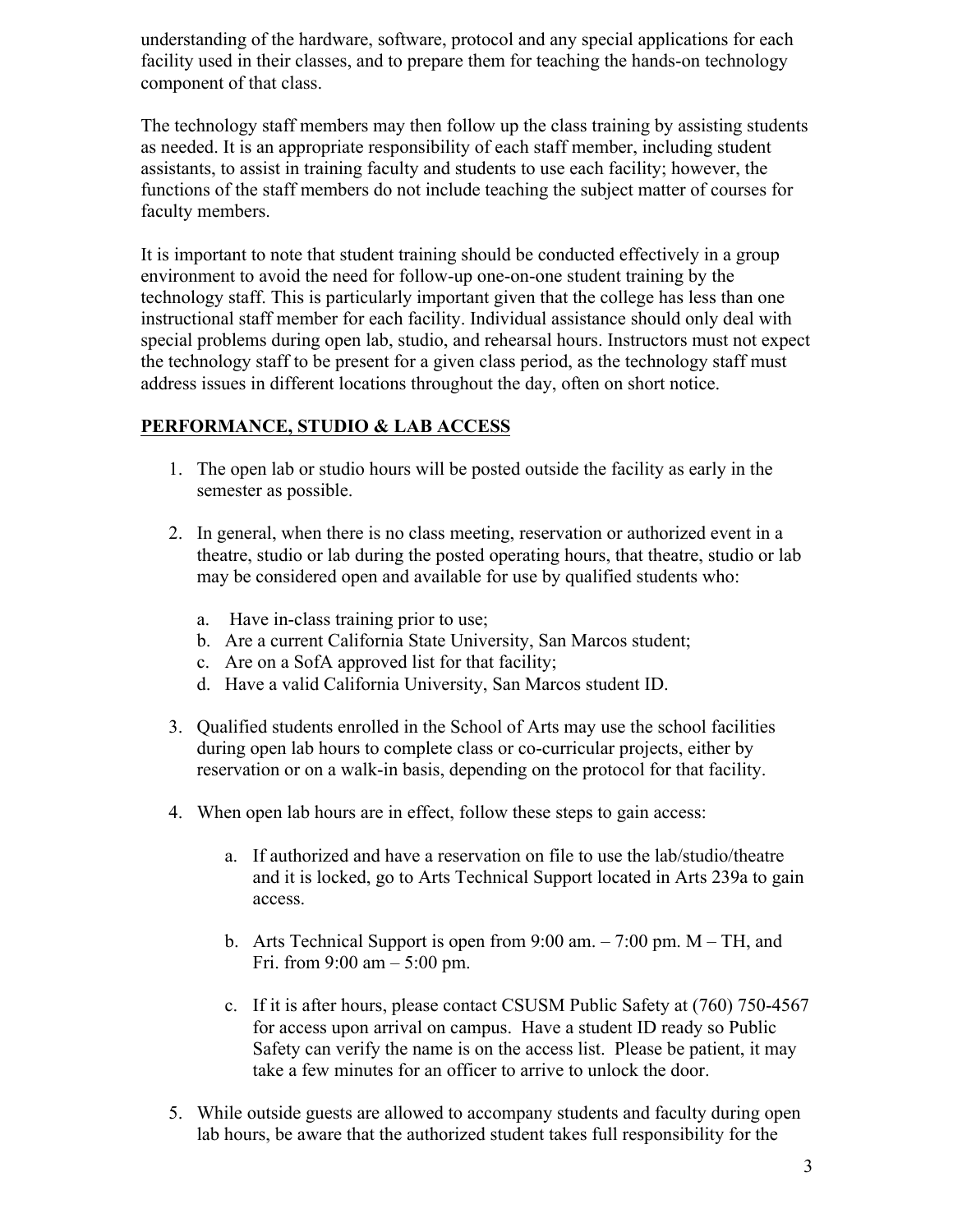understanding of the hardware, software, protocol and any special applications for each facility used in their classes, and to prepare them for teaching the hands-on technology component of that class.

The technology staff members may then follow up the class training by assisting students as needed. It is an appropriate responsibility of each staff member, including student assistants, to assist in training faculty and students to use each facility; however, the functions of the staff members do not include teaching the subject matter of courses for faculty members.

It is important to note that student training should be conducted effectively in a group environment to avoid the need for follow-up one-on-one student training by the technology staff. This is particularly important given that the college has less than one instructional staff member for each facility. Individual assistance should only deal with special problems during open lab, studio, and rehearsal hours. Instructors must not expect the technology staff to be present for a given class period, as the technology staff must address issues in different locations throughout the day, often on short notice.

## **PERFORMANCE, STUDIO & LAB ACCESS**

- 1. The open lab or studio hours will be posted outside the facility as early in the semester as possible.
- 2. In general, when there is no class meeting, reservation or authorized event in a theatre, studio or lab during the posted operating hours, that theatre, studio or lab may be considered open and available for use by qualified students who:
	- a. Have in-class training prior to use;
	- b. Are a current California State University, San Marcos student;
	- c. Are on a SofA approved list for that facility;
	- d. Have a valid California University, San Marcos student ID.
- 3. Qualified students enrolled in the School of Arts may use the school facilities during open lab hours to complete class or co-curricular projects, either by reservation or on a walk-in basis, depending on the protocol for that facility.
- 4. When open lab hours are in effect, follow these steps to gain access:
	- a. If authorized and have a reservation on file to use the lab/studio/theatre and it is locked, go to Arts Technical Support located in Arts 239a to gain access.
	- b. Arts Technical Support is open from 9:00 am. 7:00 pm. M TH, and Fri. from  $9:00 \text{ am} - 5:00 \text{ pm}$ .
	- c. If it is after hours, please contact CSUSM Public Safety at (760) 750-4567 for access upon arrival on campus. Have a student ID ready so Public Safety can verify the name is on the access list. Please be patient, it may take a few minutes for an officer to arrive to unlock the door.
- 5. While outside guests are allowed to accompany students and faculty during open lab hours, be aware that the authorized student takes full responsibility for the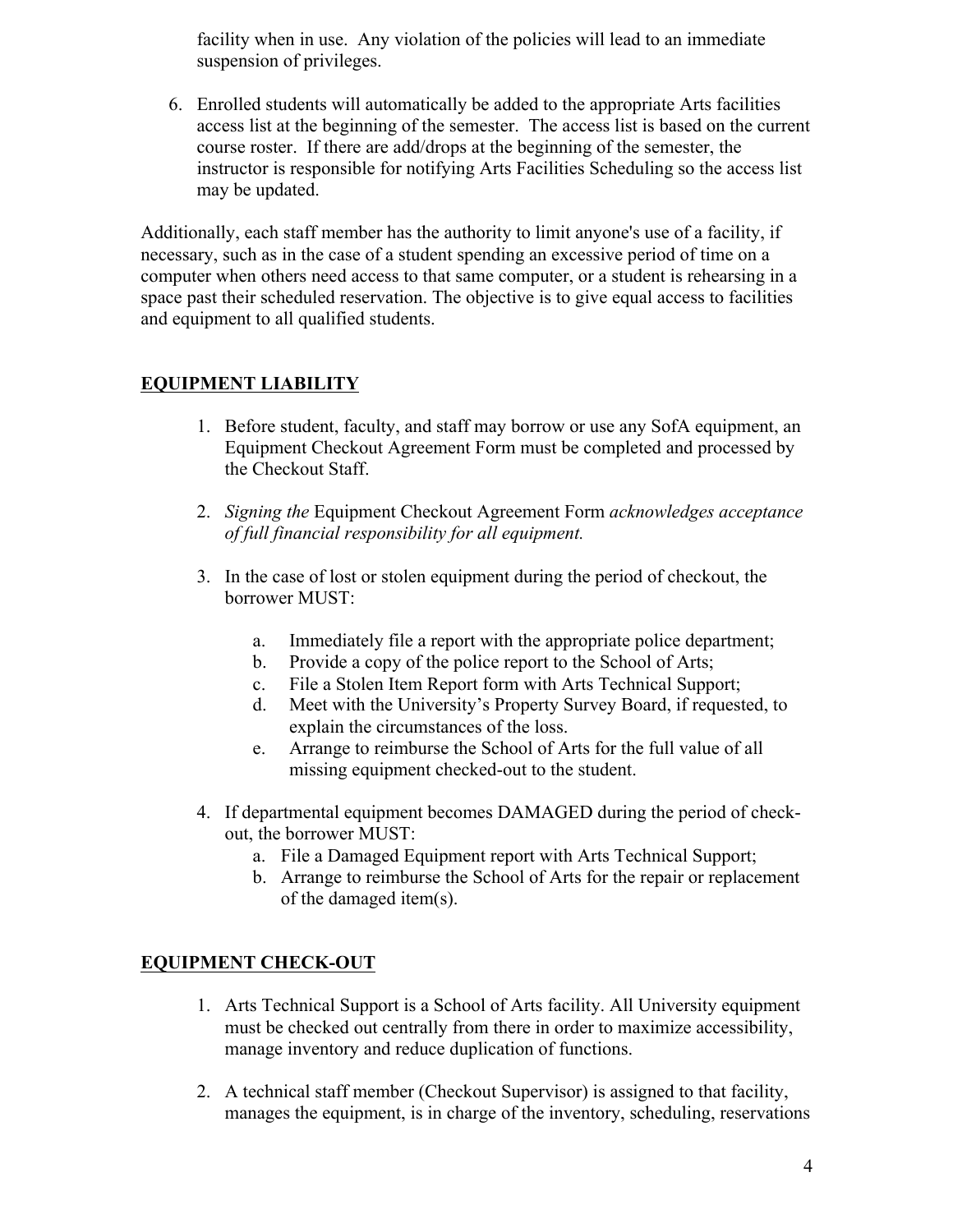facility when in use. Any violation of the policies will lead to an immediate suspension of privileges.

6. Enrolled students will automatically be added to the appropriate Arts facilities access list at the beginning of the semester. The access list is based on the current course roster. If there are add/drops at the beginning of the semester, the instructor is responsible for notifying Arts Facilities Scheduling so the access list may be updated.

Additionally, each staff member has the authority to limit anyone's use of a facility, if necessary, such as in the case of a student spending an excessive period of time on a computer when others need access to that same computer, or a student is rehearsing in a space past their scheduled reservation. The objective is to give equal access to facilities and equipment to all qualified students.

# **EQUIPMENT LIABILITY**

- 1. Before student, faculty, and staff may borrow or use any SofA equipment, an Equipment Checkout Agreement Form must be completed and processed by the Checkout Staff.
- 2. *Signing the* Equipment Checkout Agreement Form *acknowledges acceptance of full financial responsibility for all equipment.*
- 3. In the case of lost or stolen equipment during the period of checkout, the borrower MUST:
	- a. Immediately file a report with the appropriate police department;
	- b. Provide a copy of the police report to the School of Arts;
	- c. File a Stolen Item Report form with Arts Technical Support;
	- d. Meet with the University's Property Survey Board, if requested, to explain the circumstances of the loss.
	- e. Arrange to reimburse the School of Arts for the full value of all missing equipment checked-out to the student.
- 4. If departmental equipment becomes DAMAGED during the period of checkout, the borrower MUST:
	- a. File a Damaged Equipment report with Arts Technical Support;
	- b. Arrange to reimburse the School of Arts for the repair or replacement of the damaged item(s).

## **EQUIPMENT CHECK-OUT**

- 1. Arts Technical Support is a School of Arts facility. All University equipment must be checked out centrally from there in order to maximize accessibility, manage inventory and reduce duplication of functions.
- 2. A technical staff member (Checkout Supervisor) is assigned to that facility, manages the equipment, is in charge of the inventory, scheduling, reservations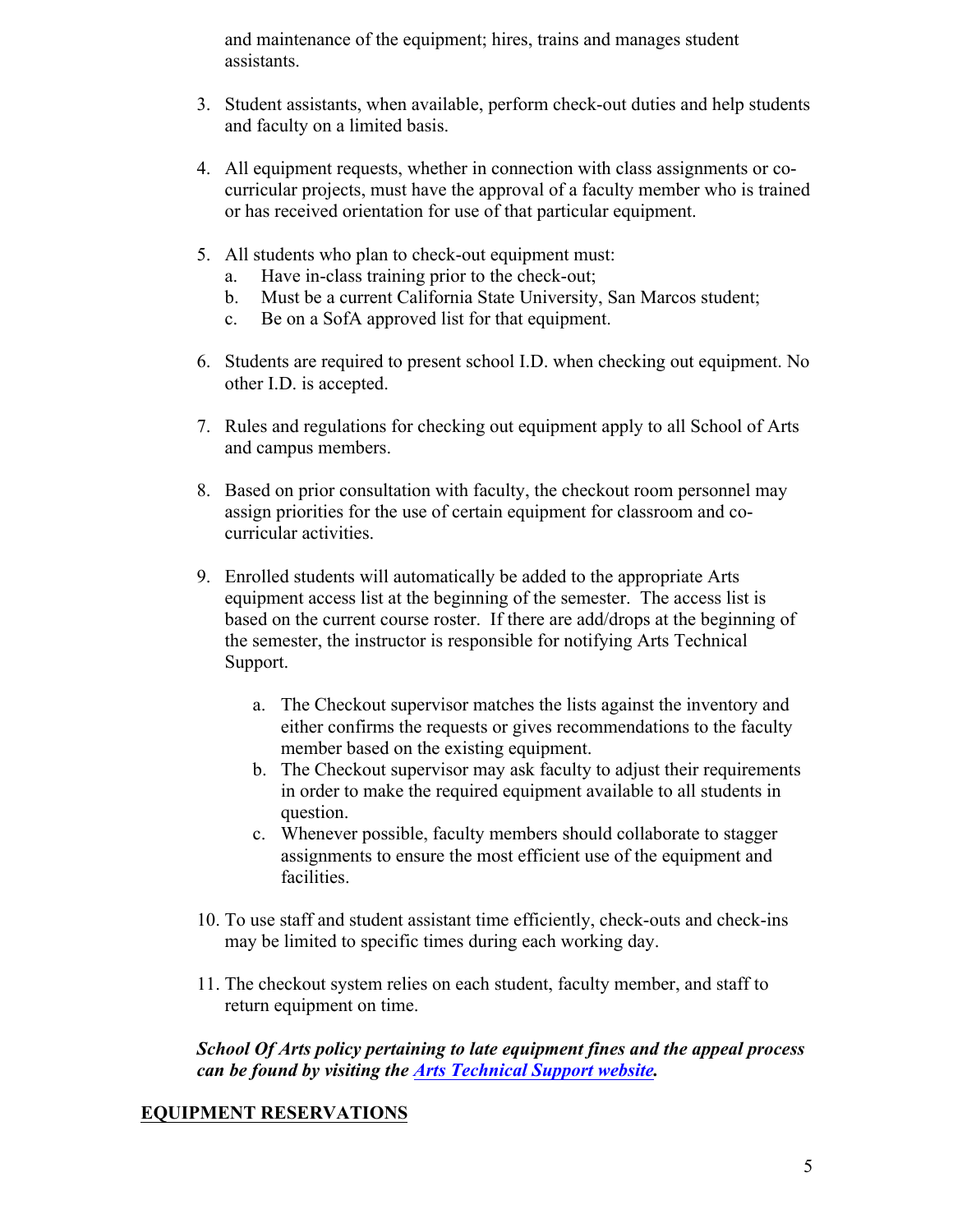and maintenance of the equipment; hires, trains and manages student assistants.

- 3. Student assistants, when available, perform check-out duties and help students and faculty on a limited basis.
- 4. All equipment requests, whether in connection with class assignments or cocurricular projects, must have the approval of a faculty member who is trained or has received orientation for use of that particular equipment.
- 5. All students who plan to check-out equipment must:
	- a. Have in-class training prior to the check-out;
	- b. Must be a current California State University, San Marcos student;
	- c. Be on a SofA approved list for that equipment.
- 6. Students are required to present school I.D. when checking out equipment. No other I.D. is accepted.
- 7. Rules and regulations for checking out equipment apply to all School of Arts and campus members.
- 8. Based on prior consultation with faculty, the checkout room personnel may assign priorities for the use of certain equipment for classroom and cocurricular activities.
- 9. Enrolled students will automatically be added to the appropriate Arts equipment access list at the beginning of the semester. The access list is based on the current course roster. If there are add/drops at the beginning of the semester, the instructor is responsible for notifying Arts Technical Support.
	- a. The Checkout supervisor matches the lists against the inventory and either confirms the requests or gives recommendations to the faculty member based on the existing equipment.
	- b. The Checkout supervisor may ask faculty to adjust their requirements in order to make the required equipment available to all students in question.
	- c. Whenever possible, faculty members should collaborate to stagger assignments to ensure the most efficient use of the equipment and facilities.
- 10. To use staff and student assistant time efficiently, check-outs and check-ins may be limited to specific times during each working day.
- 11. The checkout system relies on each student, faculty member, and staff to return equipment on time.

*School Of Arts policy pertaining to late equipment fines and the appeal process can be found by visiting the Arts Technical Support website.*

# **EQUIPMENT RESERVATIONS**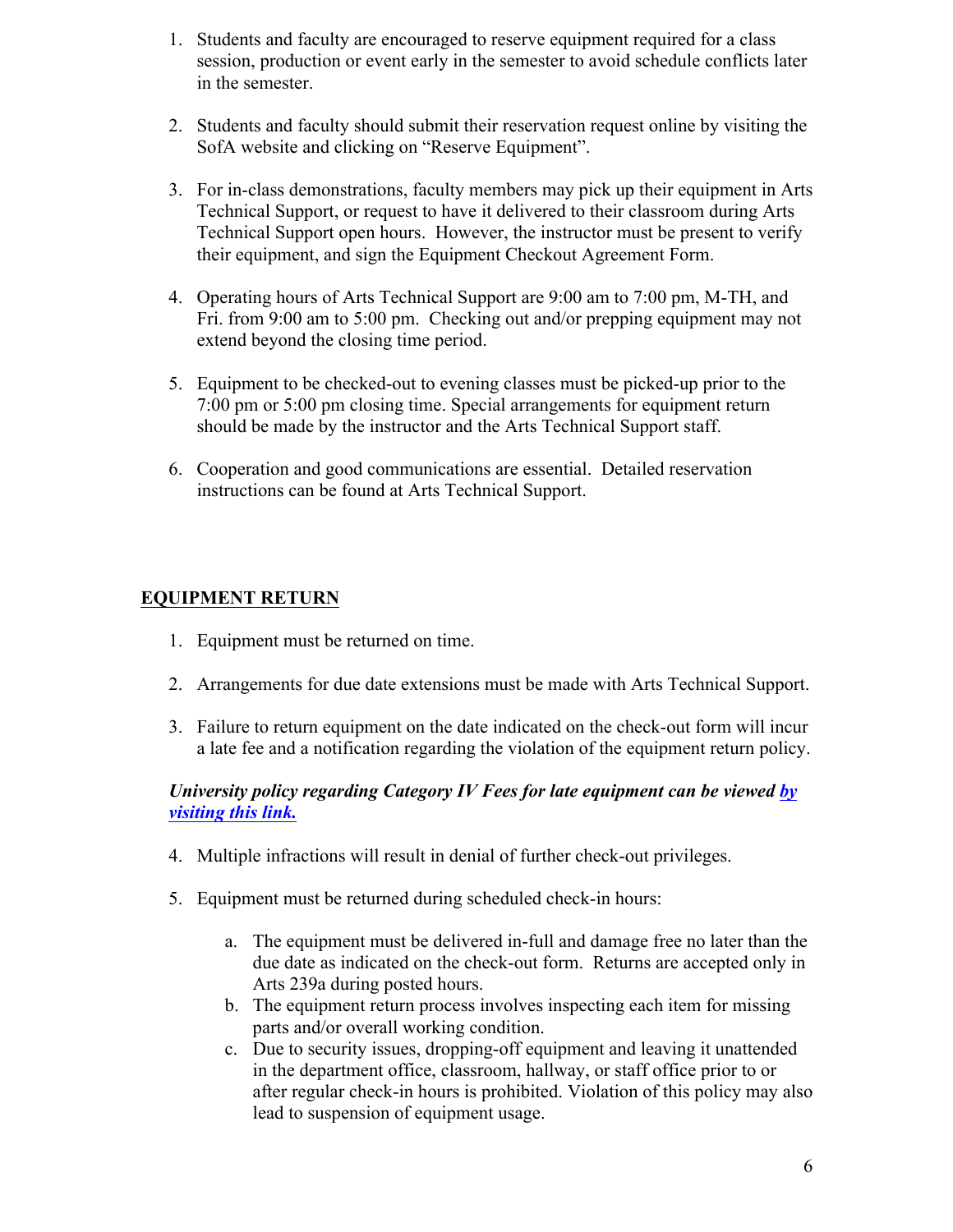- 1. Students and faculty are encouraged to reserve equipment required for a class session, production or event early in the semester to avoid schedule conflicts later in the semester.
- 2. Students and faculty should submit their reservation request online by visiting the SofA website and clicking on "Reserve Equipment".
- 3. For in-class demonstrations, faculty members may pick up their equipment in Arts Technical Support, or request to have it delivered to their classroom during Arts Technical Support open hours. However, the instructor must be present to verify their equipment, and sign the Equipment Checkout Agreement Form.
- 4. Operating hours of Arts Technical Support are 9:00 am to 7:00 pm, M-TH, and Fri. from 9:00 am to 5:00 pm. Checking out and/or prepping equipment may not extend beyond the closing time period.
- 5. Equipment to be checked-out to evening classes must be picked-up prior to the 7:00 pm or 5:00 pm closing time. Special arrangements for equipment return should be made by the instructor and the Arts Technical Support staff.
- 6. Cooperation and good communications are essential. Detailed reservation instructions can be found at Arts Technical Support.

# **EQUIPMENT RETURN**

- 1. Equipment must be returned on time.
- 2. Arrangements for due date extensions must be made with Arts Technical Support.
- 3. Failure to return equipment on the date indicated on the check-out form will incur a late fee and a notification regarding the violation of the equipment return policy.

## *University policy regarding Category IV Fees for late equipment can be viewed by visiting this link.*

- 4. Multiple infractions will result in denial of further check-out privileges.
- 5. Equipment must be returned during scheduled check-in hours:
	- a. The equipment must be delivered in-full and damage free no later than the due date as indicated on the check-out form. Returns are accepted only in Arts 239a during posted hours.
	- b. The equipment return process involves inspecting each item for missing parts and/or overall working condition.
	- c. Due to security issues, dropping-off equipment and leaving it unattended in the department office, classroom, hallway, or staff office prior to or after regular check-in hours is prohibited. Violation of this policy may also lead to suspension of equipment usage.